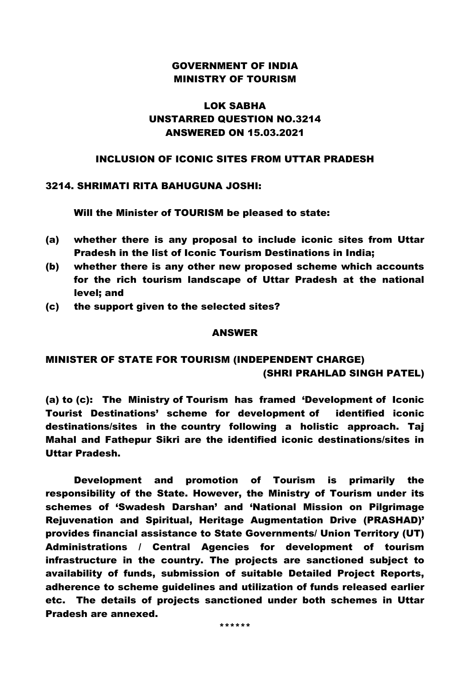### GOVERNMENT OF INDIA MINISTRY OF TOURISM

# LOK SABHA UNSTARRED QUESTION NO.3214 ANSWERED ON 15.03.2021

### INCLUSION OF ICONIC SITES FROM UTTAR PRADESH

#### 3214. SHRIMATI RITA BAHUGUNA JOSHI:

Will the Minister of TOURISM be pleased to state:

- (a) whether there is any proposal to include iconic sites from Uttar Pradesh in the list of Iconic Tourism Destinations in India;
- (b) whether there is any other new proposed scheme which accounts for the rich tourism landscape of Uttar Pradesh at the national level; and
- (c) the support given to the selected sites?

#### ANSWER

# MINISTER OF STATE FOR TOURISM (INDEPENDENT CHARGE) (SHRI PRAHLAD SINGH PATEL)

(a) to (c): The Ministry of Tourism has framed 'Development of Iconic Tourist Destinations' scheme for development of identified iconic destinations/sites in the country following a holistic approach. Taj Mahal and Fathepur Sikri are the identified iconic destinations/sites in Uttar Pradesh.

Development and promotion of Tourism is primarily the responsibility of the State. However, the Ministry of Tourism under its schemes of 'Swadesh Darshan' and 'National Mission on Pilgrimage Rejuvenation and Spiritual, Heritage Augmentation Drive (PRASHAD)' provides financial assistance to State Governments/ Union Territory (UT) Administrations / Central Agencies for development of tourism infrastructure in the country. The projects are sanctioned subject to availability of funds, submission of suitable Detailed Project Reports, adherence to scheme guidelines and utilization of funds released earlier etc. The details of projects sanctioned under both schemes in Uttar Pradesh are annexed.

\*\*\*\*\*\*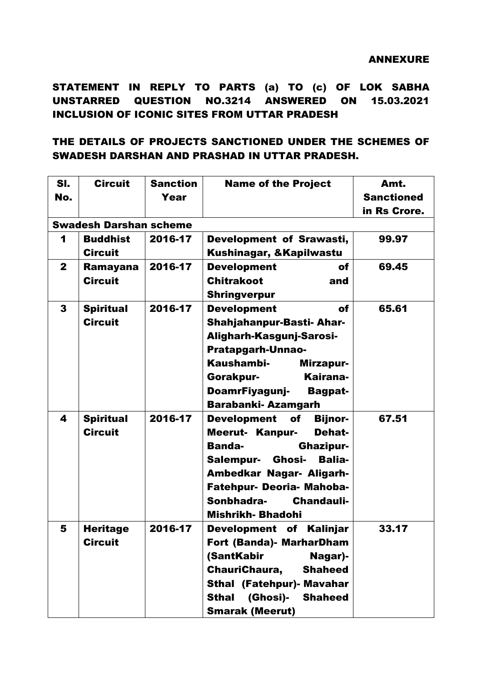STATEMENT IN REPLY TO PARTS (a) TO (c) OF LOK SABHA UNSTARRED QUESTION NO.3214 ANSWERED ON 15.03.2021 INCLUSION OF ICONIC SITES FROM UTTAR PRADESH

# THE DETAILS OF PROJECTS SANCTIONED UNDER THE SCHEMES OF SWADESH DARSHAN AND PRASHAD IN UTTAR PRADESH.

| SI.                           | <b>Circuit</b>   | <b>Sanction</b> | <b>Name of the Project</b>                 | Amt.              |  |  |  |
|-------------------------------|------------------|-----------------|--------------------------------------------|-------------------|--|--|--|
| No.                           |                  | Year            |                                            | <b>Sanctioned</b> |  |  |  |
|                               |                  |                 |                                            | in Rs Crore.      |  |  |  |
| <b>Swadesh Darshan scheme</b> |                  |                 |                                            |                   |  |  |  |
| 1                             | <b>Buddhist</b>  | 2016-17         | Development of Srawasti,                   | 99.97             |  |  |  |
|                               | <b>Circuit</b>   |                 | Kushinagar, & Kapilwastu                   |                   |  |  |  |
| $\mathbf{2}$                  | <b>Ramayana</b>  | 2016-17         | <b>Development</b><br>of                   | 69.45             |  |  |  |
|                               | <b>Circuit</b>   |                 | <b>Chitrakoot</b><br>and                   |                   |  |  |  |
|                               |                  |                 | <b>Shringverpur</b>                        |                   |  |  |  |
| 3                             | <b>Spiritual</b> | 2016-17         | <b>Development</b><br>of                   | 65.61             |  |  |  |
|                               | <b>Circuit</b>   |                 | <b>Shahjahanpur-Basti- Ahar-</b>           |                   |  |  |  |
|                               |                  |                 | Aligharh-Kasgunj-Sarosi-                   |                   |  |  |  |
|                               |                  |                 | <b>Pratapgarh-Unnao-</b>                   |                   |  |  |  |
|                               |                  |                 | Kaushambi-<br>Mirzapur-                    |                   |  |  |  |
|                               |                  |                 | Kairana-<br>Gorakpur-                      |                   |  |  |  |
|                               |                  |                 | DoamrFiyagunj-<br><b>Bagpat-</b>           |                   |  |  |  |
|                               |                  |                 | <b>Barabanki-Azamgarh</b>                  |                   |  |  |  |
| 4                             | <b>Spiritual</b> | 2016-17         | <b>Development</b><br>of<br><b>Bijnor-</b> | 67.51             |  |  |  |
|                               | <b>Circuit</b>   |                 | <b>Meerut- Kanpur-</b><br><b>Dehat-</b>    |                   |  |  |  |
|                               |                  |                 | <b>Banda-</b><br><b>Ghazipur-</b>          |                   |  |  |  |
|                               |                  |                 | Salempur- Ghosi-<br><b>Balia-</b>          |                   |  |  |  |
|                               |                  |                 | Ambedkar Nagar- Aligarh-                   |                   |  |  |  |
|                               |                  |                 | Fatehpur- Deoria- Mahoba-                  |                   |  |  |  |
|                               |                  |                 | Sonbhadra-<br>Chandauli-                   |                   |  |  |  |
|                               |                  |                 | <b>Mishrikh-Bhadohi</b>                    |                   |  |  |  |
| 5                             | <b>Heritage</b>  | 2016-17         | Development of Kalinjar                    | 33.17             |  |  |  |
|                               | <b>Circuit</b>   |                 | <b>Fort (Banda)- MarharDham</b>            |                   |  |  |  |
|                               |                  |                 | (SantKabir<br>Nagar)-                      |                   |  |  |  |
|                               |                  |                 | ChauriChaura,<br><b>Shaheed</b>            |                   |  |  |  |
|                               |                  |                 | <b>Sthal (Fatehpur)- Mavahar</b>           |                   |  |  |  |
|                               |                  |                 | <b>Sthal</b><br>(Ghosi)-<br><b>Shaheed</b> |                   |  |  |  |
|                               |                  |                 | <b>Smarak (Meerut)</b>                     |                   |  |  |  |